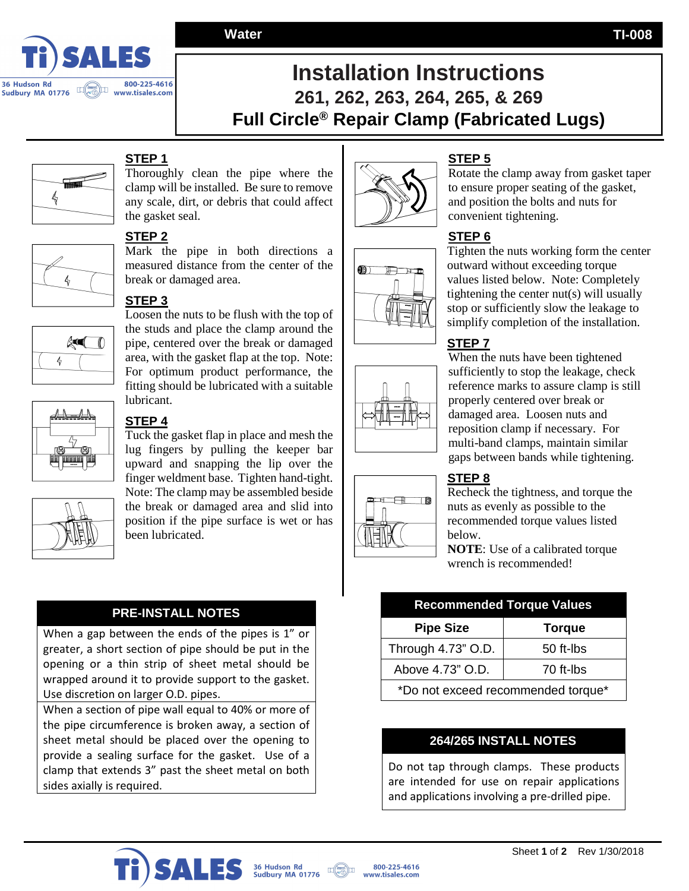

# **Installation Instructions 261, 262, 263, 264, 265, & 269 Full Circle® Repair Clamp (Fabricated Lugs)**



## **STEP 1**

Thoroughly clean the pipe where the clamp will be installed. Be sure to remove any scale, dirt, or debris that could affect the gasket seal.

Mark the pipe in both directions a measured distance from the center of the



 $\approx$ 

 $\frac{1}{2}$ 

#### **STEP 3**

break or damaged area.

**STEP 2** 

Loosen the nuts to be flush with the top of the studs and place the clamp around the pipe, centered over the break or damaged area, with the gasket flap at the top. Note: For optimum product performance, the fitting should be lubricated with a suitable lubricant.



### **STEP 4**

Tuck the gasket flap in place and mesh the lug fingers by pulling the keeper bar upward and snapping the lip over the finger weldment base. Tighten hand-tight. Note: The clamp may be assembled beside the break or damaged area and slid into position if the pipe surface is wet or has been lubricated.

#### **PRE-INSTALL NOTES**

When a gap between the ends of the pipes is 1" or greater, a short section of pipe should be put in the opening or a thin strip of sheet metal should be wrapped around it to provide support to the gasket. Use discretion on larger O.D. pipes.

When a section of pipe wall equal to 40% or more of the pipe circumference is broken away, a section of sheet metal should be placed over the opening to provide a sealing surface for the gasket. Use of a clamp that extends 3" past the sheet metal on both sides axially is required.



# $\circ$  $H$





## **STEP 5**

Rotate the clamp away from gasket taper to ensure proper seating of the gasket, and position the bolts and nuts for convenient tightening.

#### **STEP 6**

Tighten the nuts working form the center outward without exceeding torque values listed below. Note: Completely tightening the center nut(s) will usually stop or sufficiently slow the leakage to simplify completion of the installation.

#### **STEP 7**

When the nuts have been tightened sufficiently to stop the leakage, check reference marks to assure clamp is still properly centered over break or damaged area. Loosen nuts and reposition clamp if necessary. For multi-band clamps, maintain similar gaps between bands while tightening.

#### **STEP 8**

Recheck the tightness, and torque the nuts as evenly as possible to the recommended torque values listed below.

**NOTE**: Use of a calibrated torque wrench is recommended!

| <b>Recommended Torque Values</b>   |               |
|------------------------------------|---------------|
| <b>Pipe Size</b>                   | <b>Torque</b> |
| Through 4.73" O.D.                 | 50 ft-lbs     |
| Above 4.73" O.D.                   | 70 ft-lbs     |
| *Do not exceed recommended torque* |               |

#### **264/265 INSTALL NOTES**

Do not tap through clamps. These products are intended for use on repair applications and applications involving a pre-drilled pipe.



**Water TI-008**



36 Hudson Rd<br>Sudbury MA 01776